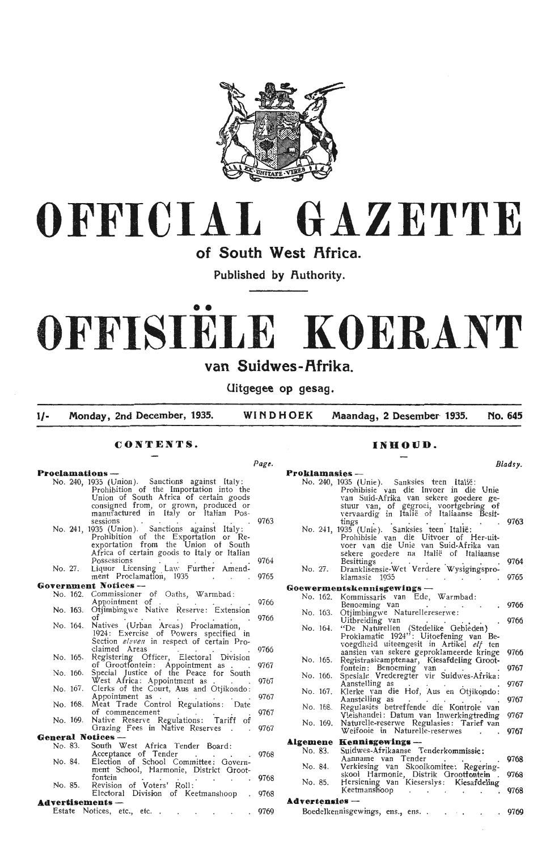



of South West Africa.

Published by **Authority**.

# •• **OFFISIELE KOERANT**

## van Suidwes-Afrika.

**Uitgegee op gesag.** 

**1/· Monday, 2nd December, 1935. WINDHOEK Maandag, 2 Desember 1935. No. 645** 

*Page.* 

### **CONTENTS.**

### **Proclamations —**

|         |                      | No. 240, 1935 (Union). Sanctions against Italy:<br>Prohibition of the Importation into the<br>Union of South Africa of certain goods<br>consigned from, or grown, produced or                                                                   |              | No    |
|---------|----------------------|-------------------------------------------------------------------------------------------------------------------------------------------------------------------------------------------------------------------------------------------------|--------------|-------|
|         |                      | manufactured in Italy or Italian Pos-<br>sessions<br>sessions<br>No. 241, 1935 (Union). Sanctions against Italy:<br>Prohibition of the Exportation or Re-<br>exportation from the Union of South<br>Africa of certain goods to Italy or Italian | 9763         | N     |
| No. 27. |                      | Possessions<br>Liquor Licensing Law Further Amend-<br>ment Proclamation, 1935                                                                                                                                                                   | 9764<br>9765 | No    |
|         |                      | Government Notices --                                                                                                                                                                                                                           |              | Goew  |
|         | No. 162.             | Commissioner of Oaths, Warmbad:<br>Appointment of                                                                                                                                                                                               | 9766         | N     |
|         | No. 163.             | Otjimbingwe Native Reserve: Extension<br>οf                                                                                                                                                                                                     | 9766         | N0    |
|         | No. 164.             | Natives (Urban Areas) Proclamation,<br>1924: Exercise of Powers specified in<br>Section eleven in respect of certain Pro-                                                                                                                       |              | N     |
|         |                      | claimed Areas                                                                                                                                                                                                                                   | 9766         |       |
|         | No. 165.             | Registering Officer, Electoral Division<br>of Grootfontein: Appointment as .                                                                                                                                                                    | 9767         | N     |
|         | No. 166.             | Special Justice of the Peace for South<br>West Africa: Appointment as                                                                                                                                                                           | 9767         | N0    |
|         | No. 167.             | Clerks of the Court, Aus and Otjikondo:<br>Appointment as                                                                                                                                                                                       | 9767         | N     |
|         | No. 168.<br>No. 169. | Meat Trade Control Regulations: Date<br>of commencement<br>Native Reserve Regulations: Tariff of                                                                                                                                                | 9767         | N0    |
|         |                      | Grazing Fees in Native Reserves<br>$\sim$                                                                                                                                                                                                       | 9767         | $N_0$ |
|         |                      | <b>General Notices ---</b>                                                                                                                                                                                                                      |              | Alger |
|         | No. 83.              | South West Africa Tender Board:<br>Acceptance of Tender<br>Election of School Committee: Govern-                                                                                                                                                | 9768         | N     |
|         | No. 84.              | ment School, Harmonie, District Groot-                                                                                                                                                                                                          |              | N     |
|         | No. 85.              | fontein<br>Revision of Voters' Roll:                                                                                                                                                                                                            | 9768         | N,    |
|         |                      | Electoral Division of Keetmanshoop                                                                                                                                                                                                              | 9768         |       |
|         |                      | Advertisements —                                                                                                                                                                                                                                |              | Adve  |
|         |                      | Estate Notices, etc., etc                                                                                                                                                                                                                       | 9769         | Bα    |

### **JNHOUD.**

|                                                                                                                                                                                                                          | Bladsy.      |
|--------------------------------------------------------------------------------------------------------------------------------------------------------------------------------------------------------------------------|--------------|
| Proklamasies ---                                                                                                                                                                                                         |              |
| No. 240, 1935 (Unie). Sanksies teen Italië:<br>Prohibisie van die Invoer in die Unie<br>van Suid-Afrika van sekere goedere ge-<br>stuur van, of gegroei, voortgebring<br>of<br>vervaardig in Italië of Italiaanse Besit- |              |
| tings<br>No. 241, 1935 (Unie).<br>Sanksies teen Italië:<br>Prohibisie van die Uitvoer of Her-uit-<br>voer van die Unie van Suid-Afrika van<br>sekere goedere na Italië of Italiaanse                                     | 9763         |
| Besittings<br>Dranklisensie-Wet Verdere Wysigingspro-<br>No. 27.<br>klamasie 1935                                                                                                                                        | 9764<br>9765 |
| $\bf Goewermentskenn isgewings$ --                                                                                                                                                                                       |              |
| No. 162.<br>Kommissaris van Ede, Warmbad:                                                                                                                                                                                |              |
| Benoeming van<br>No. 163.<br>Otjimbingwe Naturellereserwe:<br>Uitbreiding van                                                                                                                                            | 9766<br>9766 |
| "De Naturellen (Stedelike Gebieden)<br>No. 164.<br>Proklamatie 1924": Uitoefening van<br>Be-<br>voegdheid uiteengesit in Artikel elf ten                                                                                 |              |
| aansien van sekere geproklameerde kringe<br>No. 165.<br>Registrasieamptenaar, Kiesafdeling Groot-<br>fontein: Benoeming van                                                                                              | 9766<br>9767 |
| Spesiale Vrederegter vir Suidwes-Afrika:<br>No. 166.<br>Aanstelling as                                                                                                                                                   |              |
| Klerke van die Hof, Aus en Otjikondo:<br>No. 167.<br>Aanstelling as                                                                                                                                                      | 9767<br>9767 |
| No. 168.<br>Regulasies betreffende die Kontrole van<br>Vleishandel: Datum van Inwerkingtreding                                                                                                                           | 9767         |
| No. 169.<br>Naturelle-reserwe Regulasies: Tarief van<br>Weifooie in Naturelle-reserwes                                                                                                                                   | 9767         |
|                                                                                                                                                                                                                          |              |
| Algemene<br>Kennisgewings --                                                                                                                                                                                             |              |
| No. 83.<br>Suidwes-Afrikaanse Tenderkommissie:<br>Aanname van Tender                                                                                                                                                     | 9768         |
| No. 84.<br>Verkiesing van Skoolkomitee: Regering-                                                                                                                                                                        | 9768         |
| skool Harmonie, Distrik Grootfontein .<br>Hersiening van Kieserslys: Kiesafdeling<br>No. 85.<br>Keetmanshoop<br>$\mathbf{r}$                                                                                             | 9768         |
| <b>Advertensies</b> -                                                                                                                                                                                                    |              |
| Boedelkennisgewings, ens., ens                                                                                                                                                                                           | 9769         |
|                                                                                                                                                                                                                          |              |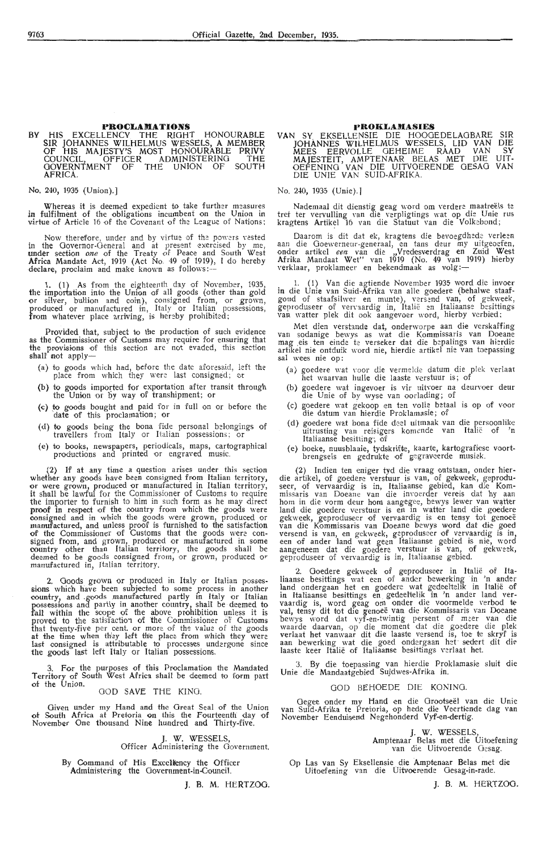### **PROCLAMATIONS**

BY HIS EXCELLENCY THE RIGHT HONOURABLE SIR JOHANNES WILHELMUS WESSELS, A MEMBER OF HIS MAJESTY'S MOST HONOURABLE PRIVY COUNCIL, OFFICER ADMINISTERING THE GOVERNTMENT OF THE UNION OF SOUTH **AFRICA.** 

No. 240, 1935 (Union).]

Whereas it is deemed expedient to take further measures in fulfilment of the obligations incumbent on the Union in virtue of Article 16 of the Covenant of the League of Nations;

Now therefore, under and by virtue of the powers vested in the Governor-General and at present exercised by me, under section *one* of the Treaty of Peace and South West Africa Mandate Act, 1919 (Act No. 49 of 1919), I do hereby declare, proclaim and make known as follows: --

1. (1) As from the eighteenth day of November, 1935, the importation into the Union of all goods (other than gold or silver, bullion and coin), consigned from, or grown, produced or manufactured in, Italy or Italian possessions, from whatever place arriving, is hereby prohibited;

Provided that, subject to the production of such evidence as the Commissioner of Customs may require for ensuring that the provisions of this section are not evaded, this section **shall** not apply-

- (a) to goods which had, before the date aforesaid, left the place from which they were last consigned; or
- (b) to goods imported for exportation after transit through the Union of by way of transhipment; or
- (c) to goods bought and paid for in full on or before the date of this proclamation; or
- ( d) to goods being the bona fide personal belongings of travellers from Italy or Italian possessions; or
- ( e) to books, newspapers, periodicals, maps, cartographical productions and printed or engraved music.

 $(2)$  If at any time a question arises under this section whether any goods have been consigned from Italian territory, or were grown, produced or manufactured in Italian territory, it shall be lawful for the Commissioner of Customs to require the importer to furnish to him in such form as he may direct proof in respect of the country from which the goods were consigned and in which the goods were grown, produced or manufactured, and unless proof is furnished to the satisfaction of the Commissioner of Customs that the goods were con-<br>signed from, and grown, produced or manufactured in some<br>country other than Italian territory, the goods shall be deemed to he goods consigned from, or grown, produced or manufactured in, Italian territory.

2. Goods grown or produced in Italy or Italian possessions which have been subjected to some process in another country, and goods manufactured partly in Italy or Italian possessions and partly in another country, shall be deemed to fall within the scope of the above prohibition unless it is proved to the satisfaction of the Commissioner of Customs that twenty-five per cent. or more of the value of the goods at the time when they left the place from which they were last consigned is attributable to processes undergone since the goods last left Italy or Italian possessions.

3. For the purposes of this Proclamation the Mandated Territory of South West Africa shall be deemed to form part of the Union.

GOD SAVE THE KING.

Given under my Hand and the Great Seal of the Union ot South Africa at Pretoria on this the Fourteenth day of November One thousand Nine hundred and Thirty-five.

> J. W. WESSELS, Officer Administering the Government.

By Command of His Excellency the Officer Administering the Oovernment-in-Council.

J. 8. M. HERTZOG.

### **PROKLAJIASIES**

**VAN** SY EKSELLENSIE DIE HOOGEDELAOBARE JOHANNES WILHELMUS WESSELS, LID VAN MEES EERVOLLE OEHEIME RAAD VAN MAJESTEIT, AMPTENAAR BELAS MET DIE OEFENING VAN DIE UITVOERENDE OESAO DIE UNIE VAN SUID-AFRIKA. SIR **DIE SY UIT-VAN** 

### No. 240, 1935 (Unie). I

Nademaal dit dienstig geag word om verdere maatreëls te tref ter vervulling van die verpligtings wat op die Unie rus<br>kragtens Artikel 16 van die Statuut van die Volkebond;

Daarom is dit dat ek, kragtens die bevoegdhede verleen aan die Goewerneur-generaal, en tans deur my uitgeoefen, onder artikel een van die "Vredesverdrag en Zuid West Afrika Mandaat Wet" van 1919 (No. 49 van 1919) hierby verklaar, proklameer en hekendmaak as volg:-

1. (1) Van die agtiende November 1935 word die invoer in die Unie van Suid-Afrika van alle goedere (behalwe staafgoud of staafsilwer en munte), versend van, of gekweek,<br>geproduseer of vervaardig in, Italië en Italiaanse besittings van watter plek dit ook aangevoer word, hierby verbied;

Met dien verstande dat, onderworpe aan die verskaffing van sodanige bewys as wat die Kommissaris van Doeane mag eis ten einde te verseker dat die bepalings van hierdie artikel nie ontduik word nie, hierdie artikel nie van toepassing sal wees nie op:

- (a) goedere wat voor die vermelde datum die plek verlaat het waarvan hulle die laaste verstuur is; of
- (b) goedere wat ingevoer is vir uitvoer na deurvoer deur die Unie of by wyse van oorlading; of
- (c) goedere wat gekoop en ten volle betaal is op of voor die datum van hierdie Proklarnasie; of
- (d) goedere wat bona fide deel uitmaak van die persoonlike uitrusting van reisigers komende van Italië of 'n Italiaanse besitting; of
- ( e) boeke, nuusblaaie, tydskrifte, kaarte, kartografiese voortbrengsels en gedrukte of gegraveerde musiek.

(2) Indien ten eniger tyd die vraag ontstaan, onder hierdie artikel, of goedere verstuur is van, of gekweek, geproduseer, of vervaardig is in, Italiaanse gebied, kan die Kommissaris van Doeane van die invoerder vereis dat hy aan hom in die vorm deur hom aangegee, bewys lewer van watter land die goedere verstuur is en in watter land die goedere gekweek, geproduseer of vervaardig is en tensy tot genoeë<br>van die Kommissaris van Doeane bewys word dat die goed versend is van, en gekweek, geproduseer of vervaardig is in, een of ander land wat geen Italiaanse gebied is nie, word aangeneem dat die goedere verstuur is van, of gekweek, geproduseer of vervaardig is in, Italiaanse gebied.

2. Goedere gekweek of geproduseer in Italië of Italiaanse besittings wat een of ander bewerking in 'n ander land ondergaan het en goedere wat gedeeltelik in Italië of in Italiaanse besittings en gedeettelik in 'n ander land ver- vaardig is, word geag om onder die voormelde verbod te val, tensy dit tot die genoeë van die Kommissaris van Doeane bewys word dat vyf-en-twintig persent of meer van die waarde daarvan, op die moment dat die goedere die plek verlaat het vanwaar dit die laaste versend is, toe te skryf is aan bewerking wat die goed ondergaan het sedert dit die laaste keer Italië of Italiaanse besittings verlaat het.

3. By die toepassing van hierdie Proklamasie sluit die Unie die Mandaatgebied Sujdwes-Afrika in.

### GOD BEHOEDE DIE KONING.

Oegee onder my Hand en die Grootseël van die Unie van Suid-Afrika te Pretoria, op hede die Veertiende dag van<br>November Eenduisend Negehonderd Vyf-en-dertig.

J. W. WESSELS, Amptenaar Belas met die Uitoefening van die Uitvoerende Gesag.

Op Las van Sy Eksellensie die Amptenaar Belas met die Uitoefening van die Uitvoerende Oesag-in-rade.

J. B. M. HERTZOG.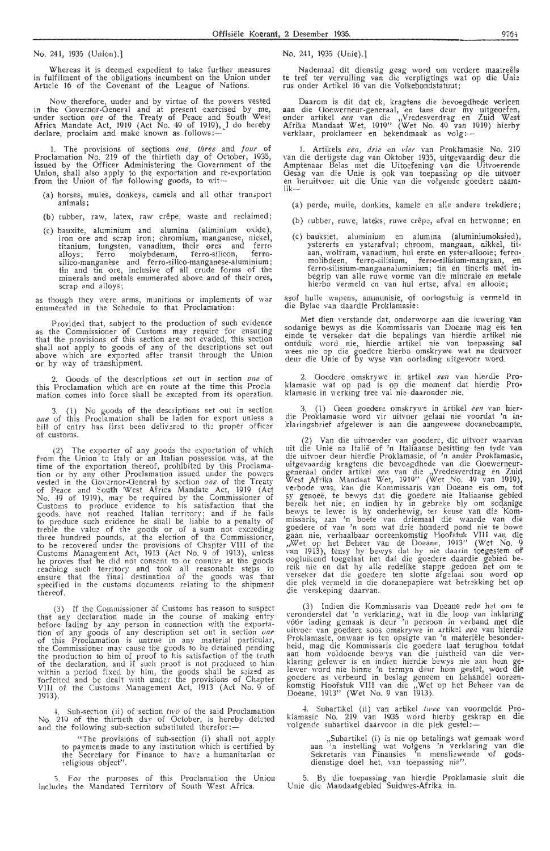No. 241, 1935 (Union).]

Whereas it is deemed expedient to take further measures in fulfilment of the obligations incumbent on the Union under Article 16 of the Covenant of the League of Nations.

Now therefore, under and by virtue of the powers vested in the Governor-General and at present exercised by me,<br>under section *one* of the Treaty of Peace and South West Africa Mandate Act, 1919 (Act No. 49 of 1919), I do hereby<br>declare, proclaim and make known as follows:—

1. The provisions of sections one, three and four of Proclamation No. 219 of the thirtieth day of October, 1935,<br>issued by the Officer Administering the Government of the Union, shall also apply to the exportation and re-exportation<br>from the Union of the following goods, to wit---

- (a) horses, mules, donkeys, camels and all other transport animals;
- (b) rubber, raw, latex, raw crepe, waste and reclaimed;
- (c) bauxite, aluminium and alumina (aliminium oxide), iron ore and scrap iron; chromium, manganese, nickel titanium, tungsten, vanadium, their ores and ferro alloys; ferro molybdenum, ferro-silicon, ferrosilico-manganese and ferro-silico-manganese-aluminium;<br>tin and tin ore, inclusive of all crude forms of the minerals and metals enumerated above and of their ores, scrap and alloys;

as though they were arms, munitions or implements of war enumerated in the Schedule to that Proclamation:

Provided that, subject to the production of such evidence as the Commissioner of Customs may require for ensuring that the provisions of this section are not evaded, this section shall not apply to goods of any of the descriptions set out<br>above which are exported after transit through the Union or by way of transhipment.

2. Goods of the descriptions set out in section *one* of this Proclamation which are en route at the time this Procla mation comes into force shall be excepted from its operation.

3. ( 1) No goods of the descriptions set out in section one of this Proclamation shall be laden for export unless a bill of entry has first been delivered to the proper officer ot customs.

The exporter of any goods the exportation of which from the Union to Italy or an Italian possession was, at the time of the exportation thereof, prohibited by this Proclamation or by any other Proclamation issued under the powers vested in the Governor-General by section one of the Treaty of Peace and South West Africa Mandate Act, 1919 (Act No. 49 of 1919), may be required by the Commissioner of Customs to produce evidence *to* his satisfaction that the goods. have not reached Italian territory; and if he fails to produce such evidence he shall be liable *to* a penalty of treble the value of the goods or of a sum not exceeding three hundred pounds, at the election of the Commissioner, to be recovered under the provisions of Chapter VIII of the Customs Management Act, 1913 (Act No. 9 of 1913), unless<br>he proves that he did not consent to or connive at the goods reaching such territory and took all reasonable steps to ensure that the final destination of the goods was that specified in the. customs documents relating to the shipment thereof.

(3) If the Commissioner of Customs has reason to suspect that any declaration made in the course of making entry before lading by any person in connection with the exportation of any goods of any description set out in section one of this Proclamation is untrue in any material particular, the Commissioner may cause the goods to be detained pending the production to him of proof to his satisfaction of the truth of the declaration, and if such proof is not produced to him within a period fixed by him, the goods shall be saized as forfeited and be dealt with under the provisions of Chapter VIII of the Customs N\anagement Act, 1913 (Act No. 9 of 1913).

-l. Sub-section (ii) of section *two* of the said Proclamation No. 219 of the thirtieth tlay of October, is here by dek:ted and the following sub-section substituted therefor:-

"The provisions of sub-section (i) shall not apply to payments made to any institution which is certified by the Secretary for Finance to have a humanitarian or religious obfect".

5. For the purposes of this Proclamation the Union includes the Mandated Territory of South West Africa.

No. 241, 1935 (Unie).]

Nademaal dit dienstig geag word om verdere maatreëls te tref ter vervulling van die verpligtings wat op die Unie rus onder Artikel 16 van die Volk-ebondstatuut;

. Daarom is dit dat ek, kragtens die bevoegdhede verleen aan die Ooewerneur-generaal, en tans deur my uitgeoefen, onder artikel een van die "Vredesverdrag en Zuid West Afnka Mandaat Wet, 1919" (Wet No. 49 van 1919) hierby  $v$ erklaar, proklameer en bekendmaak as volg:---:

1. Artikels *een, drie* en *vier* van Proklamasie No. 219 van die dertigste dag van Oktober 1935, uitgevaardig deur die Amptenaar Belas met die Uitoefening van die Uitvoerende Gesag van die Unie is ook van toepassing op die uitvoer<br>en heruitvoer uit die Unie van die volgende goedere naam•<br>lik—

(a) perde, muile, donkies, kamele en alle andere trekdiere;

- (b) rubber, ruwe, lateks, ruwe crêpe, afval en herwonne; en
- (c) bauksiet, aluminium en alumina (aluminiumoksied), ystererts en ysterafval; chroom, mangaan, nikkel, titaan, wolfram, vanadium, hul erste en yster-allooie; ferro-<br>molibdeen, ferro-silisium, ferro-silisium-mangaan, en<br>ferro-silisium-mangaanaluminium; tin en tinerts met inbegrip van alle ruwe vorme van die minerale en metale hierbo vermeld en van hul ertse, afval en allooie;

asof hulle wapens, ammunisie, of oorlogstuig is vermeld in die Bylae van daardie Proklamasie:

Met dien verstande dat, onderworpe aan die lewering van sodanige bewys as die Kommissaris van Doeane mag eis ten einde te verseker dat die bepalings van hierdie artikel nie ontduik word nie, hierdie artikel nie van toepassing sal wees nie op die goedere hierbo omskrywe wat na deurvoer deur die Unie of by wyse van oorlading uitgevoer word.

2. Goedere omskrywe in artikel *een* van hierdie Proklamasie wat op pad is op die moment dat hierdie Proklamasie in werking tree val nie daaronder nie.

(1) Geen goedere omskrywe in artikel een van hierdie Proklamasie word vir uitvoer gelaai nie voordat 'n inklaringsbrief afgelewer is aan die aangewese doeanebeampte.

(2) Van die uitvoe rder van goedere, die uitvoer waarvan uit die Unie na Italie of ' n Itahaanse besitting ten tyde van die uitvoer deur hierdie Proklamasie, of 'n ander Proklamasie, uitgevaardig kragtens die bevoegdhede van die Goewerneurgeneraal onder artikel *een* van die "Vredesverdrag en Zuid West ,Afrika Mandaat Wet, 1919" (Wet No. 49 van 1919), verbode was, kan die Kommissaris van Doeane eis om, tot sy genoeë, te bewys dat die goedere nie Italiaanse gebied bereik het nie; en indien hy in gebreke bly om sodanige bewys te lewer is hy onderhewig, ter keuse van die Kommissaris, aan 'n boete van driemaal die waarde van die goedere of van 'n som wat drie honderd pond nie te bowe gaan nie, verhaalbaar ooreenkomstig Hoofstuk VIII van die ,,Wet op het Beheer van de Doeane, 1913'' (Wet No. 9<br>van 1913), tensy hy bewys dat hy nie daarin toegestem of oogluikend toegelaat het dat die goedere daardie gebied bereik nie en dat hy alle redelike stappe gedoen het om te verseker dat die goedere ten slotte afgelaai sou word op die plek vermeld in die doeanepapiere wat betrekking het op die verskeping daarvan.

(3) Indien die Kommissaris van Doeane rede het om te veronderstel dat 'n verklaring, wat in die loop van inklaring vóór lading gemaak is deur 'n persoon in verband met die uitvoer van goedere soos omskrywe in artikel *een* van hierdie Proklamasie, onwaar is ten opsigte van 'n materiële besonderheid, mag die Kommissaris die goedere laat terughou totdat<br>aan hom voldoende bewys van die juistheid van die verklaring gelewer is en indien hierdie bewys nie aan hom gelewer word nie binne 'n termyn deur hom gestel, word die goedere as verbeurd in beslag geneem en behandel ooreenkomstig Hoofstuk VIII van die "Wet op het Beheer van de Doeane, 1913" (Wet No. 9 van 1913).

4. Subartikel (ii) van artikel twee van voormelde Proklamasie No. 219 van 1935 word hierby geskrap en die volgende subartikel daarvoor in die plek gestel:-

,,Subartikel (i) is nie op betal'ings wat gemaak word aan 'n instelling wat volgens 'n verklaring van die Sekretaris van Finansies 'n mensliewende of godsdienstige doel het, van toepassing nie".

5. By die toepassing van hierdie Proklamasie sluit die Unie die Mandaatgebied Suidwes-Afrika in.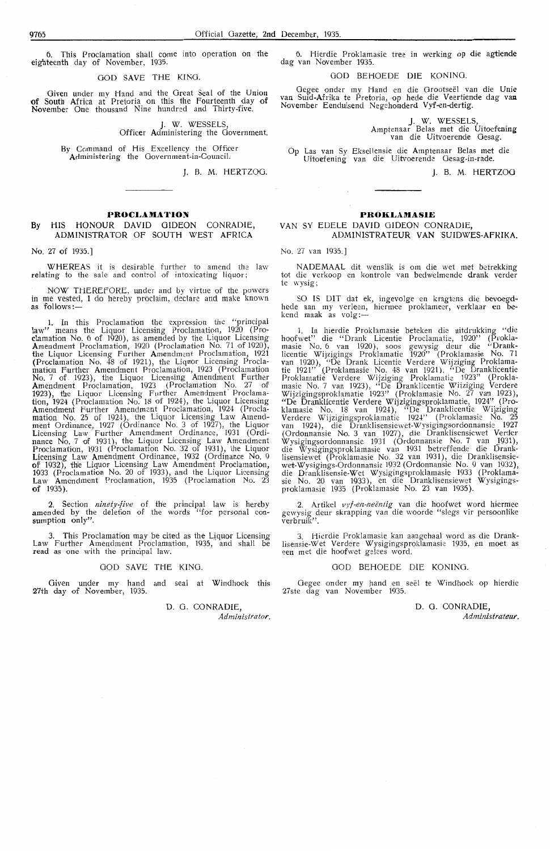This Proclamation shall come into operation on the eighteenth day of November, 1935.

GOD SAVE THE KING.

Given under my Hand and the Great Seal of the Union of South Africa at Pretoria on this the Fourteenth day of November One thousand Nine hundred and Thirty-five.

J. W. WESSELS,

Officer Administering the Government.

By Command of His Excellency the Officer Administering the Government-in-Council.

J. B. M. HERTZOG.

### **PROCLAMATION**

### By HIS HONOUR DAVID GIDEON CONRADIE, ADMINISTRATOR OF SOUTH WEST AFRICA

No. 27 of 1935.]

WHEREAS it is desirable further to amend the law relating to the sale and control of intoxicating liquor;

NOW THEREFORE, under and by virtue of the powers in me vested, I do hereby proclaim, declare and make known as follows:-

1. In this Proclamation the expression the "principal law" means the Liquor Licensing Proclamation, 1920 (Proclamation No. 6 of 1920), as amended by the Liquor Licensing Amendment Proclamation, 1920 (Proclamation No. 71 of 1920), the Liquor Licensing Further Amendment Proclamation, 1921 (Proclamation No. 48 of 1921), the Liquor Licensing Proclamation Further Amendment Proclamation, 1923 (Proclamation<br>No. 7 of 1923), the Liquor Licensing Amendment Further Amendment Proclamation, 1923 (Prodamation No. 27 of 1923), the Liquor Licensing Further Amendment' Proclama**tion,** 1924 (Proclamation No. 18 of 1924), the Liquor Licensing Amendment Further Amendment Proclamation, ·1924 (Proclamation No. 25 of 1924), the Liquor Licensing Law Amendment Ordinance, 1927 (Ordinance No. 3 of 1927), the Liquor Licensing Law Further Amendment Ordinance, 1931 (Ordinance No. 7 of 1931), the Liquor Licensing Law Amendment Proclamation, 1931 (Proclamation No. 32 of 1931), the Liquor Licensing Law Amendment Ordinance, 1932 (Ordinance No. 9 of 1932), the Liquor Licensing Law Amendment Proclamation, 1933 (Proclamation No. 20 of 1933), and the Liquor Licensing Law Amendment Proclamation, 1935 (Proclamation No. 23 of 1935).

2. Section *ninety-five* of the principal law is hereby amended by the deletion of the words "for personal consumption only".

3. This Proclamation may be cited as the Liquor Licensing Law Further Amendment Proclamation, 1935, and shall be read as one with the principal faw.

#### 000 SAVE THE KING.

Given under my hand and seal at Windhoek this 27th day of November, 1935

> 0. G. CONRADIE, *Administrator.*

6. Hierdie Proklamasie tr-ee in werking op die **agtiende**  dag van November 1935.

GOD BEHOEDE DIE KONING.

Gegee onder my Hand en die Grootseël van die Unie van Suid-Afrika *te* Pretoria, op hede die Veertiende dag **Vall**  November Eenduisend Negehonderd Vyf-cn-dertig.

> **J. W.** WESSELS, Amptenaar Belas met die Uitoefening van die Uitvoerende Oesag.

Op Las van Sy Eksellensie die Amptenaar Belas met die Uitoefening van die Uitvoenende Gesag-in-rade.

**J.** B. **M. HERTZOG** 

### **PROKLAMASIE**

### VAN SY EDELE DAVID GIDEON CONRADIE, ADMINISTRATEUR VAN SUIDWES-AFRIKA.

No. 27 van 1935.]

NADEMAAL dit wenslik is om die wet met betrekking tot die verkoop en kontrole van bedwelmende drank verder *te* wysig;

SO IS DIT dat ek, ingevolge en kragtens die bevoegdhede aan my verleen, hiermee proklameer, verklaar en bekend inaak as volg :-

1. In hierdie Proklamasie beteken die uitdrukking "die hoofwet" die "Drank Licentie Proclamatie, 1920" (Proklamasie No. 6 van 1920), soos gewysig deur die "Dranklicentie Wijzigings Proklamatie 1920" (Proklamasie No. 71 van 1920), "De Drank Licentie Verdere Wijziging Proklamatie 1921" (Proklamasie No. 48 van 1921), "De Dranklicentie Proklarnatie Verdere Wijziging Proklamatie 1923" (Proklamasie No. 7 van 1923), "De Dranklicentie Wiiziging Verdere Wijzigingsprokiamatie 1923" (Proklamasie No. 27 van 1923), "De Dranklicentie Verdere Wijzigingsproklamatie, 1924" (Proklamasie No. 18 van 1924), "De Dranklicentie Wijziging Verdere Wijzigingsproklamatie 1924" (Proklamasie No. 25 van 1924), die Dranklisensiewet-Wysigingsordonnansie 1927<br>(Ordonnansie No. 3 van 1927), die Dranklisensiewet Verder Wysigingsordonnansie 1931 (Ordonnansie No. 7 van 1931), die Wysigingsproklamasie van 1931 betreffende die Dranklisensiewet (Proklamasie No. 32 van 1931), die Dranklisensiewet-Wysigings-Ordonnansie 1932 (Ordonnansie No. 9 van 1932), die Dranklisensie-Wet Wysigingsproklamasie 1933 (Proklamasie No. 20 van 1933), en die Oranklisensiewet Wysigings- proklamasie 1935 (Proklamasie No. 23 van 1935).

2. Artikel *vyf-en-neëntig* van die hoofwet word hiermee gewysig deur skrapping van die woorde "slegs vir persoonlike verbruik".

3. Hierdie Proklamasie kan aangehaal word as die Dranklisensie-Wet Verdere Wysigingsproklamasie 1935, en moet as een met die hoofwet gelees word.

### 000 BEHOEDE DIE KONING.

Gegee onder my hand en seël te Windhoek op hierdie 27ste dag van November 1935.

> D. G. CONRADIF *Administrateur.*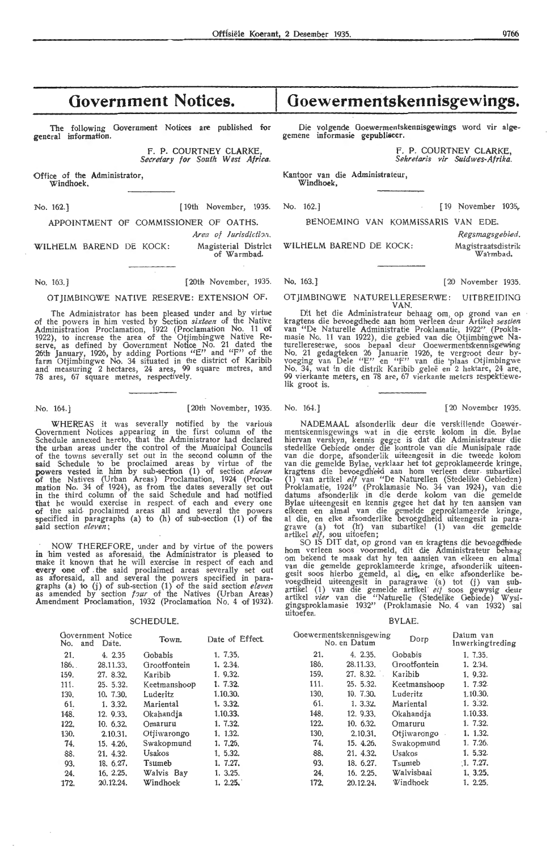### **Government Notices.**

The following Government Notices are published for general information.

> F. P. COURTNEY CLARKE *Secretary for South West Africa.*

Office of the Administrator, Windhoek.

No. 162.] [ 19th November, 1935. No. 162.] [ 19 November 1935. APPOINTMENT OF COMMISSIONER OF OATHS. BENOEMING VAN KOMMISSARIS VAN EDE.

WILHELM BAREND DE KOCK: Magisterial District WILHELM BAREND DE KOCK: Magistraatsdist

### of Warmbad. Wa·rmbad.

No. 163. ) [20th November, 1935. No. 163.) [20 November 1935.

### OTJIMBINOWE NATIVE RESERVE: EXTENSION OF.

The Administrator has been pleased under and by virtue of the powers in him vested by Section *sixteen* of the Native<br>Administration Proclamation, 1922 (Proclamation No. 11 of 1922), to increase the area of the Otjimbingwe Native Re- serve, as defined by Government Notice No. 21 dated the 26th January, 1926, by adding Portions "E" and "F" of the farm Otjimbingwe No. 34 situated in the district of Karibib and measuring 2 hectares, 24 ares, 99 square metres, and 78 ares, 67 square metres, respectively.

No. 164.) [20th November, 1935. No. 164.) [20 November 1935.

WHEREAS it was severally notified by the various Government Notices appearing in the first column of the Schedule annexed hereto, that the Administrator had declared **the** urban areas under the control of the Municipal Councils of the towns severally set out in the second column of the said Schedule to be proclaimed areas by virtue of the powers vested in him by sub-section (1) of section *eleven* of the Natives (Urban Areas) Proclamation, 1924 (Proclamation No. 34 of 1924), as from the dates severally set out in the third column of the said Schedule and had notified that he would exercise in respect of each and every one of the said-proclaimed areas all and several the powers specified in paragraphs (a) to  $(h)$  of sub-section  $(1)$  of the said section *eleven*;

NOW THEREFORE, under and by virtue of the. powers in him vested as aforesaid, the Administrator is pleased to make it known that he will exercise in respect of each and **every one of** the said proclaimed areas severally set out as aforesaid, all and several the powers specified in para-<br>graphs (a) to (j) of sub-section (1) of the said section *eleven*<br>as amended by section *four* of the Natives (Urban Areas) Amendment Proclamation, 1932 (Proclamation No. 4 of 1932).

#### SCHEDULE.

| No.  | Government Notice<br>and<br>Date. | Town.        | Date of Effect. |
|------|-----------------------------------|--------------|-----------------|
| 21.  | 4.2.35                            | Gobabis      | 1, 7,35.        |
| 186. | 28.11.33.                         | Grootfontein | 1. 2.34.        |
| 159. | 27. 8.32.                         | Karibib      | 1. 9.32.        |
| 111. | 25.5.32.                          | Keetmanshoop | 1.7.32.         |
| 130. | 10, 7.30.                         | Luderitz     | 1.10.30.        |
| 61.  | 1.3.32.                           | Mariental    | 1.3.32.         |
| 148. | 12. 9.33.                         | Okahandia    | 1.10.33.        |
| 122. | 10.632.                           | Omaruru      | 1. 7.32.        |
| 130. | 2.10.31.                          | Otiiwarongo  | 1, 1.32.        |
| 74.  | 15.4.26.                          | Swakopmund   | 1. 7.26.        |
| 88.  | 21. 4.32.                         | Usakos       | 1, 5.32.        |
| 93.  | 18. 6.27.                         | Tsumeb       | 1. 7.27.        |
| 24.  | 16, 2.25,                         | Walvis Bay   | 1. 3.25.        |
| 172. | 20.12.24.                         | Windhoek     | 1.2.25.         |

### **Goewermentskennisgewings.**

Die volgende Goewermentskennisgewings word vir alge-gemene informasie gepubliseer.

F. P. COURTNEY CLARKE, *Sekretaris vir Suidwes-Afrika.* 

Kantoor van die Administrateur,  $Windhoek$ 

*Area of Jurisdiction*.<br>• Regsmagsgebied.<br>• Magisterial District WILHELM BAREND DE KOCK: Magisterastschietrik

OTJIMBINGWE NATURELLERESERWE: UITBREIDING

VAN.<br>Dit het die Administrateur behaag om, op grond van en kragtens die bevoegdhede aan hom verleen deur Artikel *sestien*<br>van "De Naturelle Administratie Proklamatie, 1922" (Proklamasie No. 11 van 1922), die gebied van die Otjimbingwe Naturellereserwe, soos bepaal deur Goewermentskennisgewing No. 21 gedagteken 26 Januarie 1926, te vergroot deur by-<br>voeging van Dele "E" en "F" van die 'plaas Otjimbingwe<br>No. 34, wat in die distrik Karibib geleë en 2 hektare, 24 are,<br>99 vierkante meters, en 78 are, 67 vierkante me lik groot is.

NADEMAAL afsonderlik deur die verskillende Goewermentskennisgewings wat in die eerste kolom in die. Bylae<br>hiervan verskyn, kennis gegee is dat die Administrateur die stedelike Gebiede onder die kontrole van die Munisipale rade<br>van die dorpe, afsonderlik uiteengesit in die tweede kolom van die gemelde Bylae, verklaar het tot geproklameerde kringe, kragtens die bevoegdheid aan hom verleen deur subartikel (1) van artikel elf van "De Naturellen (Stedelike Gebieden) Proklamatie, 1924" (Proklamasie No. 34 van 1924), van dié<br>datums afsonderlik in die derde kolom van die gemelde Bylae uiteengesit en kennis gegee het dat hy ten aansien van elkeen en almal van die gemelde geproklameerde kringe, al die, en elke afsonderlike bevoegdheid uiteengesit in para-<br>grawe (a) tot (h') van subartikel (1) van die gemelde artikel *elf,* sou uitoefen;

SO IS DIT dat, op grond van en kragtens die bevoegdhede hom verleen soos voormeld, dit die Administrateur behaag om bekend te maak dat hy ten aansien van elkeen en almal van die gemelde geproklameerde kringe, afsonderlik uiteengesit soos hierbo gemeld, al die, en elke afsonderlike bevoegdheid uiteengesit in paragrawe (a) tot (j) van subartikel (1) van die gemelde artikel *eif* soos gewysig deur artikel vier van die "Naturelle (Stedelike Gebiede) Wysigingsproklamasie 1932" (Proklamasie No. 4 van 1932) sal uitoefen.

#### BYLAE.

| Goewermentskennisgewing | No. en Datum | Dorp         | Datum van<br>Inwerkingtreding |
|-------------------------|--------------|--------------|-------------------------------|
| 21.                     | 4.2.35.      | Gobabis      | 1, 7.35.                      |
| 186.                    | 28.11.33.    | Grootfontein | 1, 2.34.                      |
| 159.                    | 27. 8.32.    | Karibib      | 1, 9.32.                      |
| 111.                    | 25.5.32.     | Keetmanshoop | 1.7.32.                       |
| 130.                    | 10. 7.30.    | Luderitz     | 1.10.30.                      |
| 61.                     | 1.332.       | Mariental    | 1. 3.32.                      |
| 148.                    | 12. 9.33.    | Okahandja    | 1.10.33.                      |
| 122.                    | 10.632.      | Omaruru      | 1. 7.32.                      |
| 130.                    | 2.10.31.     | Otiiwarongo  | 1. 1.32.                      |
| 74.                     | 15. 4.26.    | Swakopmund   | 1.7.26.                       |
| 88.                     | 21. 4.32.    | Usakos       | 1.5.32.                       |
| 93.                     | 18. 6.27.    | Tsumeb       | 1.7.27.                       |
| 24.                     | 16. 2.25.    | Walvisbaai   | 1. 3.25.                      |
| 172.                    | 20.12.24.    | Windhoek     | 1. 2.25.                      |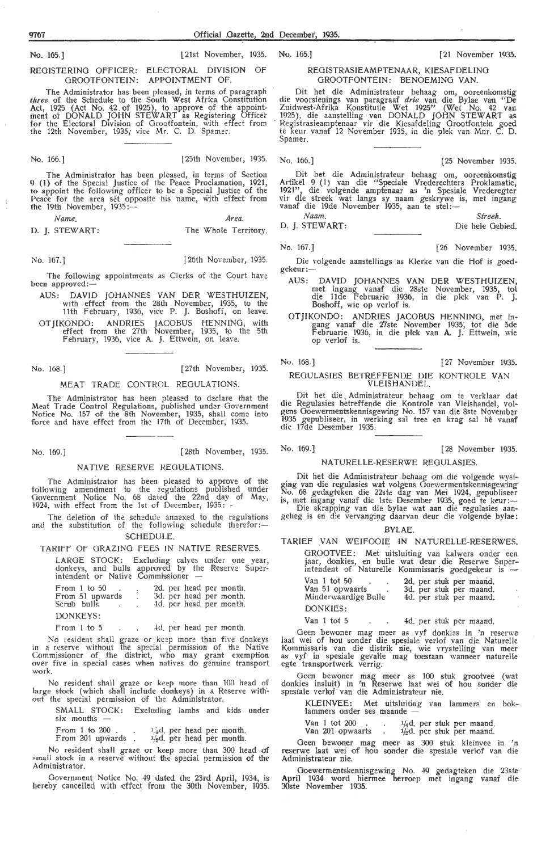No. 165.]

REGISTERING OFFICER: ELECTORAL DIVISION OF GROOTFONTEIN: APPOINTMENT OF.

The Administrator has been pleased, in terms of paragraph *three* of the Schedule to the South West Africa Constitution Act, 1925 (Act No. 42 of 1925 ), to approve of the appoint- ment ot DONALD JOHN STEWART as Registering Officer for the Electoral Division of Grootfontein, with effect from the 12th November, 1935; vice Mr. C. D. Spamer.

No. 166.] [25th November, 1935. No. 166.] [25 November 1935.

l21st November, 1935.

The Administrator has been pleased, in terms of Section 9 (1) of the Special Justice of the Peace Proclamation, 1921, **to** appoint the following officer to be a Special Justice of the Peace for the area set opposite his name, with effect from the 19th November, 1935:----

*Name. Area.* 

D. I. STEWART: The Whole Territory.

No. 167.) ! 26th November, 1935.

The following appointments as Clerks of the Court have been approved:-

- AUS: DAVID JOHANNES VAN DER WESTHUIZEN, with effect from the 28th November, 1935, to the 11th February, 1936, vice P. J. Boshoff, on leave.
- OTJIKONDO: ANDRIES JACOBUS HENNING, with effect from the 27th November, 1935, to the 5th February, 1936, vice A. J, Ettwein, on leave.

No. 168.) [ 27th November, 1935.

### MEAT TRADE CONTROL REGULATIONS.

The Administrator has been pleased to declare that the Meat Trade Control Regulations, published under Government Notice No. 157 of the 8th November, 1935, shall come into force and have effect from the 17th of December, 1935.

No. 169.] [28th November, 1935. No. 169.] [28 November 1935.

### NATIVE RESERVE REGULATIONS.

The Administrator has been pleased to approve of the following amendment to the regulations published under Government Notice No. 68 dated the 22nd day of May, 1924, with effect from the 1st of December, 1935:

The deletion of the schedule annexed to the regulations and the substitution of the following schedule therefor:-SCHEDULE.

### TARIFF OF GRAZING FEES IN NATIVE RESERVES.

LARGE STOCK: Excluding calves under one year, donkeys, and bulls approved by the Reserve Super-<br>intendent or Native Commissioner --

| From 1 to $50$<br>From 51 upwards<br>Scrub bulls |  |  | 2d. per head per month.<br>3d, per head per month.<br>4d. per head per month. |
|--------------------------------------------------|--|--|-------------------------------------------------------------------------------|
| DONKEYS:                                         |  |  |                                                                               |

4d. per head per month. From I to 5  $\sim 10^{11}$  km  $^{-1}$ 

No resident shall graze or keep more than five donkeys in a reserve without the special permission of the Native Commissioner of the district, who may grant exemption<br>over five in special cases when natives do genuine transport work.

No resident shall graze or keep more than 100 head of large stock (which shall include donkeys) in a Reserve without the special permission of the Administrator.

SMALL STOCK: Excluding lambs and kids under six months

From 1 to  $200$ .<br>From  $201$  upwards. From 1 to 200.  $\frac{1}{4}d$ , per head per month.<br>From 201 upwards  $\frac{1}{2}d$ , per head per month.

No resident shall graze or keep more than 300 head of small stock in a reserve without the special permission of the<br>Administrator.

Government Notice No. 49 dated the 23rd April, 1934, is hereby cancelled with ,effect from the 30th November, 1935.

No. 165.] [21 November 1935.

### REOISTRASIEAMPTENAAR, KIESAFDELING OROOTFONTEIN: BENOEMINO **VAN.**

Dit het die Administrateur behaag om, oor-eenkomstig die voorsienings van paragraaf *drie* van die Bylae van "De Zuidwest-Afrika Konstitutie Wet 1925" (Wet No. 42 van<br>1925), die aanstelling van DONALD JOHN STEWART as<br>Registrasieamptenaar vir die Kiesafdeling Grootfontein goed te keur vanaf 12 November 1935, in die plek van Mnr. C. D. Spamer.

Dit het die Administrateur behaag om, ooreenkomstig Artikel 9 (1) van die "Speciale Vrederechters Proklamatie, 1921", die volgende amptenaar as 'n Spesiale Vrederegter vir die streek wat langs sy naam geskrywe is, met ingang vanaf die 19de November 1935, aan te stel:--

*Naam.* Streek. D. J. STEWART: Die hele Gebied.

Die volgende aanstellings as Klerke van die Hof is goedgekeur:

- AUS : DAVID JOHANNES VAN DER WESTHUIZEN, met. ingang vanaf die 28ste November, 1935, tot die 1 lde Februarie 1936, in die plek van P. J. Boshoff, wie op verlof is.
- OTJIKONDO: ANDRIES JACOBUS HENNING, met ingang vanaf die 27ste November 1935, tot die 5de Februarie 1936, in die plek van A. J. Ettwein, wie op verlof is.

No. 168.] [27 November 1935.

REOULASIES BETREffENDE DIE KONTROLE VAN VLEISHANDEL.

Dit het die . Administrateur behaag om *te* verklaar dat die Regulasies betreffende die Kontrole van Vleishandel, volgens Goewermentskennisgewing No. 157 van die 8ste November<br>1935 gepubliseer, in werking sal tree en krag sal hê vanaf die 17de Desember 1935.

### NATURELLE-RESERWE REGULASIES.

Dit het die Administrateur behaag om die volgende wysiging van die regulasies wat volgens Goewermentskennisgewing No. 68 gedagteken die 22ste dag van Mei 1924, gepubliseer<br>is, met ingang vanaf die 1ste Desember 1935, goed te keur:<br>Die skrapping van die bylae wat aan die regulasies aan-<br>geheg is en die vervanging daarvan deur die volge

### BYLAE.

TARIEF VAN WEIFOOIE IN NATURELLE-RESERWES.

OROOTVEE: Met uitsluiting van kalwers onder een.<br>jaar, donkies, en bulle wat deur die Reserwe Super-<br>intendent of Naturelle Kommissaris goedgekeur is ---

| Van 1 tot 50<br>Van 51 opwaarts<br>Minderwaardige Bulle | 2d. per stuk per maand.<br>3d. per stuk per maand.<br>4d. per stuk per maand.                                                                                                                                                  |
|---------------------------------------------------------|--------------------------------------------------------------------------------------------------------------------------------------------------------------------------------------------------------------------------------|
| DONKIES:                                                |                                                                                                                                                                                                                                |
| $\mathbf{V}$ and $\mathbf{V}$ and $\mathbf{V}$          | and the contract of the contract of the contract of the contract of the contract of the contract of the contract of the contract of the contract of the contract of the contract of the contract of the contract of the contra |

Van 1 tot 5 . . 4d. per stuk per maand.

Geen bewoner mag meer as vyf donkies in 'n resenve laat wei of hou sonder die spesialie verlof van die Naturel!e Kommissaris van die distrik nie, wie vrystelling van meer<br>as vyf in spesiale gevalle mag toestaan wanneer naturelle<br>egte transportwerk verrig.

Geen bewoner mag meer as 100 stuk grootvee (wat donkies insluit) in 'n Reserwe laat wei of hou sonder die spesiale verlof van die Administrateur nie.

KLEINVEE: Met uitsluiting van lammers en boklammers onder ses maande

|  | Van 1 tot 200                                           |  |  |  | $1/4$ d. per stuk per maand.                    |  |
|--|---------------------------------------------------------|--|--|--|-------------------------------------------------|--|
|  | $\mathbf{U}_{\text{max}}$ and $\mathbf{U}_{\text{max}}$ |  |  |  | and the common state of the common state of the |  |

Van 201 opwaarts .  $\frac{1}{2}d$  per stuk per maand.

Geen hewoner mag meer as 300 stuk kleinvee in 'n reserwe laat wei of hou sonder die spesiale verlof van die Administrateur nie.

Goewermentskennisgewing No. 49 gedagteken die 23ste **April** 1934 word hiermee herroep met ingang vanaf die 30ste November 1935.

No. 167.] 126 November 1935.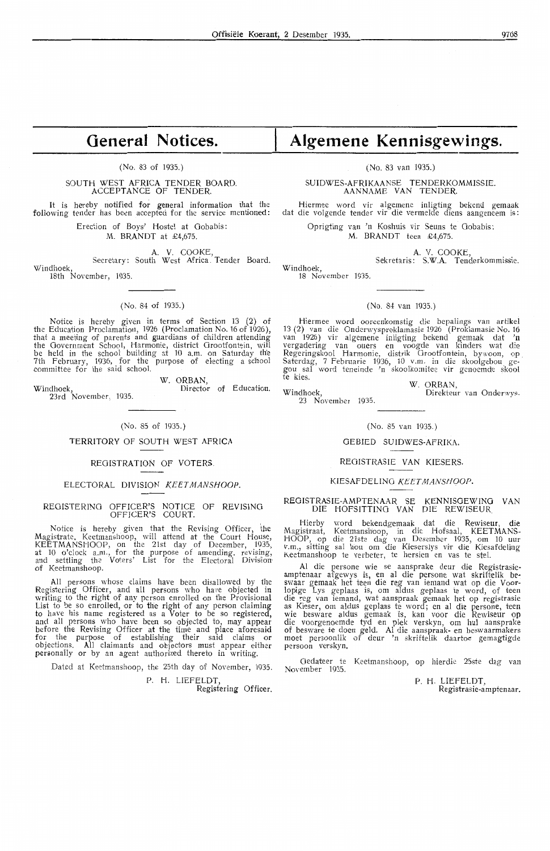### **General Notices.**

### (No. 83 of 1935.)

### SOUTH WEST AFRICA TENDER BOARD. ACCEPTANCE OF TENDER.

It is hereby notified for general information that the following tender has been accepted for the service mentioned:

Erection of Boys' Hostel at Gobabis: M. BRANDT at £4,675.

A. V. COOKE,

Secretary: South West Africa . Tender Board. Windhoek, 18th November, 1935.

(No. 84 of 1935.)

Notice is hereby given in terms of Section 13 (2) of the Education Proclamation, 1926 (Proclamation No. 16 of 1926 ), that a meeting of parents and guardians of children attending the Government School, Harmonie, district Grootfontein, will be held in the school building at 10 a.m. on Saturday th'e 7th February, 1936, for the purpose of electing a school 7th February, 1936, for the<br>committee for the said school.

Windhoek, Director of Education. 23rd November, 1935.

W. ORBAN,<br>Director of Education.

(No. 85 of 1935.)

### TERRITORY OF SOUTH WEST AFRICA

### REGISTRATION OF VOTERS.

### ELECTORAL DIVISION KEETMANSHOOP.

### REGISTERING OFFICER'S NOTICE OF REVISING OFFICER'S COURT.

Notice is hereby given that the Revising Officer, the Magistrate. Keetmanshoop, will attend at the Court House, KEETMANSHOOP, on the 21st day of December, 1935, at 10 o'clock a.m., for the purpose of amending. revising, and settling the Voters' List for the Electoral Division<sup>.</sup> of Keetmanshoop.

All persons whose claims have been disallowed by the Registering Officer, and all persons who have objected in<br>writing to the right of any person enrolled on the Provisional List to be so enrolled, or to the right of any person claiming to have his name registered as a Voter to be so registered, and all persons who have been so objected to, may appear before the Revising Officer at the time and piace aforesaid for the purpose of establishing their said claims or objections. All claimants and objectors must appear either personally or by an agent authorized thereto in writing.

Dated at Keetmanshoop, the 25th day of November, 1935.

P. H. LIEFELDT, Registering Officer.

## **Algemene Kennisgewings.**

(No. 83 van 1935.)

SUIDWES-AFRIKAANSE TENDERKOMMISSIE. AANNAME VAN TENDER.

Hiermee word vir algemene inligting bekend gemaak dat die volgende tender vir die vermelde diens aangeneem is:

> Oprigting van 'n Koshuis vir Seuns te Oobabis: M. BRANDT teen £4,675.

> > **A. V.** COOKE, Sekreta ris: **S.W.A.** Tende rkommissi-e.

Windhoek, 18 November 1935.

### (No. 84 van 1935.)

Hiermee word ooreenkomstig die bepalings van artikel 13 (2) van die Onderwysproklamasie 1926 (Proklamasie No. 16 van 1926) vir algemene inligting bekend gemaak dat **'n**  vergadering van ouers en voogde van kinders wat die Regeringskool Harmonie, distrik Grootfontein, bywoon, op Saterdag, 7 Februarie 1936, 10 v.m. in die skoolgebou gegou sal word teneinde 'n skoolkomitee vir genoemde skool te kies.

W. ORBAN,

23 November 1935.

Windhoek, Direkteur van Onderwys.

#### (No. 85 van 1935.)

GEBIED SUIDWES-AFRIKA.

#### REOISTRASIE VAN KIESERS.

#### KIESAFDELING KEETMANSHOOP.

### REOISTRASIE-AMPTENAAR SE KENNISGEWINO VAN DIE HOFSITTING VAN DIE REWISEUR.

Hierby word bekendgemaak dat die Rewiseur, die Magistraat, Keetmanshoop, in die Hofsaal, KEETMANS-<br>HOOP, op die 21ste dag van Desember 1935, om 10 uur *v.m., sitting sal hou om die Kieserslys vir die Kiesafdeling* it eetmanshoop te verbeter, te hersien en vas te stel.

Al die persone wie se aansprake deur die Registrasieamptenaar afgewys is, en al die persone wat skriftelik beswaar gemaak het teen die reg van iemand wat op die Voorlopige Lys geplaas is, om aldus gepiaas te word, of teen die reg van iemand, wat aanspraak gemaak het op registrasie as Kieser, om aldus geplaas te word; en al die persone, teen wie besware aldus gemaak is, kan voor die Rewiseur op die voorgenoemde tyd en plek verskyn, om hul aa nsprake of besware te doen geld. Al die aanspraak- en beswaarmakers moet persoonlik -of deur 'n skriftelik daartoe gemagtigde persoon verskyn.

Gedateer te Keetmanshoop, op hierdie 25ste dag van November 1935.

P. H. LIEFELDT, Registrasie-amptenaar.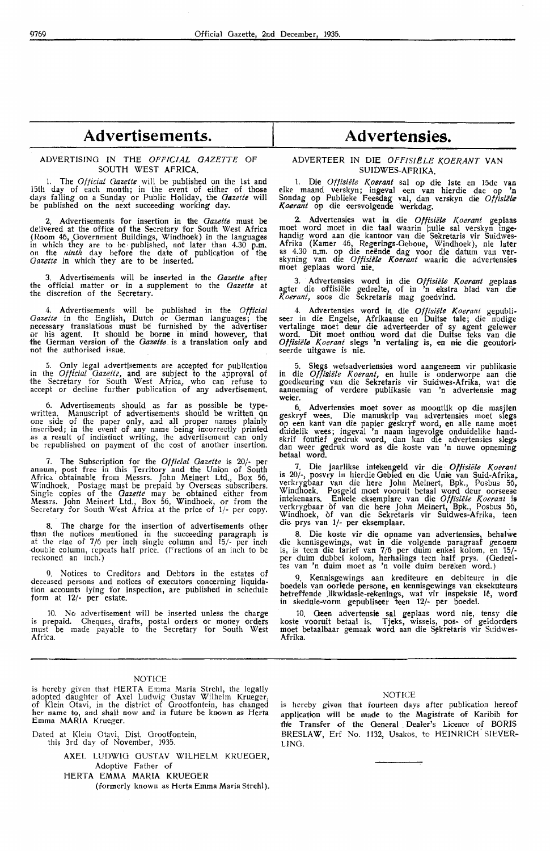### **Advertisements.**

### ADVERTISING IN THE *OFFICIAL GAZETTE* OF SOUTH WEST AFRICA.

The *Official Gazette* will be published on the 1st and 15th day of each month; in the event of either of those days falling on a Sunday or Public Holiday, the *Gazette* will be published on the next succeeding working day.

2. Advertisements for insertion in the *Gazette* must be delivered at the office of the Secretary for South West Africa (Room 46, Government Buildings, Windhoek) in the languages<br>in which they are to be published, not later than 4.30 p.m.<br>on the *ninth* day before the date of publication of the *Gazette* in which they are to be inserted.

3. Advertisements will be inserted in the *Gazette* after the official matter or in a supplement to the *Gazette* at the discretion of the Secretary.

4. Advertisements will be published in the *Official Gazette* in the English, Dutch or German languages; the necessary translations must be furnished by the advertiser or his agent. It should be borne in mind however, that the German version of the *Gazette.* is a translation only and not the authorised issue.

5. Only legal advertisements are accepted for publication in the *Official Gazette,* and are subject to the approval of the Secretary for South West Africa, who can refuse to accept or decline further publication of any advertisement.

6. Advertisements should as far as possible be typewritten. Manuscript of advertisements should be written on<br>one side of the paper only, and all proper names plainly inscribed; in the event of any name being incorrectly printed as a result of indistinct writing, the advertisement can only be republished on payment of the cost of another insertion.

7. The Subscription for the *Official Gazette* is 20/- per annum, post free in this Territory and the Union of South Afriea obtainable from Messrs. John Meinert Ltd., Box 56, Windhoek. Postage must be prepaid by Overseas subscribers. Single copies of the *Oazetle* may he obtained either from Messrs. John Meinert Ltd., Box 56, Windhoek, or from the Secretary for South West Africa at the price of 1/- per copy.

8. The charge for the insertion of advertisements other than the notices mentioned in the succeeding paragraph is at the rtae of 7/6 per inch single column and 15/- per inch -double column, repeats half price. (Fractions of an inch to be reckoned an inch.)

Notices to Creditors and Debtors in the estates of deceased persons and notices of executors concerning liquidation accounts lying for inspection, are published in schedule form at 12/· per estate.

10. No advertisement will be inserted unless the charge is prepaid. Cheques, drafts, postal orders or money orders must be made payable to the Secretary for South West Africa.

### NOTICE

is hereby given that HERTA Emma Maria Strehl, the legally adopted daughter of Axel Ludwig Gustav Wilhelm Krueger, of Klein Otavi, in the district of Grootfontein, has changed her name fo, and shall now and in future be known as Herta Emma **MARIA** Krueger.

Dated at Klein Otavi, Dist. Orootfontein, this 3rd day of November, 1935.

AXEL LUDWIG GUSTAV WILHELM KRUEGER, Adoptive Father of HERTA EMMA MARIA KRUEGER (formerly known as Herta Emma Maria Strehl).

### $Advertensis.$

### ADVERTEER IN DIE OFFISIELE KOERANT VAN SUIDWES-AFRIKA.

1. Die *Offisiele Koerant* sal op die lste en 15de van elke maand verskyn; ingeval een van hierdie dae op 'n Sondag op Publieke F,eesdag val, dan verskyn die *Offisiebe K oerant* op die eersvolgende werkdag.

2. Advertensies wat in die *Offisiete Koerant* geplaas moet word moet in die taal waarin hulle sal verskyn ingehandig word aan die kantoor van die Sekretaris vir Suidwes-Afrika (Kamer 46, Regerings-Geboue, Windhoek), nie later<br>as 4.30 n.m. op die neënde dag voor die datum van ver-<br>skyning van die *Offisiële Koerant* waarin die advertensies moet geplaas word nie.

3. Advertensies word in die *Offisiële Koerant* geplaas agter die offisiële gedeelte, of in 'n ekstra blad van die *Koerant,* soos die Sekretaris mag goedvind.

4. Advertensies word in die *Oftisiele Koerant* gepubli- seer in die Engelse, Afrikaanse en Duitse tale; die nodige vertalinge moet deur die adverteerder of sy agent gelewerword. Dit moet onthou word dat die Duitse teks van die Offisiële Koerant slegs 'n vertaling is, en nie die geoutoriseerde uitgawe is nie.

5. Slegs wetsadvertensies word aangeneem vir publikasie in die *Offisiële Koerant*, en hulle is onderworpe aan die goedkeuring van die Sekretaris vir Suidwes-Afrika, wat die<br>aanneming of verdere publikasie van 'n advertensie mag weier.

6. Advertensies moet sover as moontlik op die masjien geskryf wees. Die manuskrip van advertensies moet slegs op een kant van die papier geskryf word, en alle name moet duidelik wees; ingeval 'n naam ingevolge onduidelike handskrif foutief gedruk word, dan kan die advertensies slegs dan weer gedruk word as die koste van 'n nuwe opneming betaal word.

7. Die jaarlikse intekengeld vir die *Offisiele Koerant*  is 20/-, posvry in hierdie Oebied en die Unie van Suid-Afrika, verkrygbaar van die here John Meinert, Bpk., Posbus 56, Windhoek. Posgeld moet vooruit betaal word deur oorseese<br>intekenaars. Enkele eksemplare van die *Offisiële Koerant* i**s** verkrygbaar of van die here John Meinert, Bpk., Posbus 56, Windhoek, of van die Sekretaris vir Suidwes-Afrika, teen die. prys van 1/- per eksemplaar.

8. Die koste vir die opname van advertensies, behalwe die kennisgewings, wat in die volgende paragraaf genoem is, is teen die tarief van 7/6 per duim enkel kolom, en 15/ per duim dubbel kolom, herhalings teen half prys. (Oedeeltes van 'n duim moet as 'n volle duim bereken word.)

9. Kennisgewings aan krediteure en debiteure in die boedels van oorlede persone, en kennisgewings van eksekuteurs<br>betreffende Jikwidasie-rekenings, wat vir inspeksie lê, word in skedule-vorm gepubliseer teen 12/- per boedel.

10. Geen advertensie sal geplaas word nie, tensy die koste vooruit betaal is. Tjeks, wissels, pos- of geldorders moet betaalbaar gemaak word aan die Sekretaris vir Suidwes-**Afrika.** 

### NOTICE

is hereby given that fourteen days after publication hereof application will be made to the Magistrate of Karihib for the Transfer of the General Dealer's Licence of BORIS BRESLAW, Erf No. 1132, Usakos, to HEINRICH SIEVER-LING.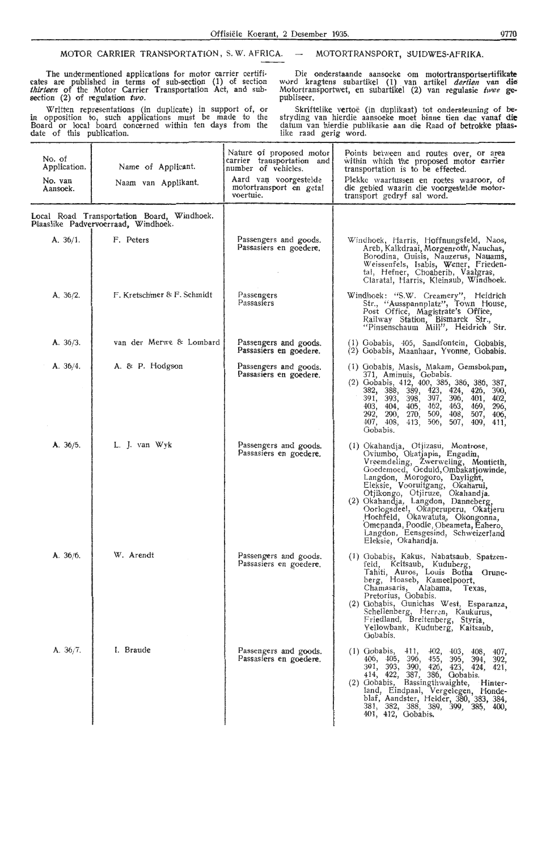### MOTOR CARRIER TRANSPORTATION, S.W. AFRICA. - MOTORTRANSPORT, SUIDWES-AFRIKA.

The undermentioned applications for motor carrier certificates are published in terms of sub-section (1) of section thirteen of the Motor Carrier Transportation Act, and subsection (2) of regulation *two.* 

Written representations (in duplicate) in support of, or in opposition to, such applications must be made to the Board or local board concerned within ten days from the date of this publication.

Die onderstaande aansoeke om motortransportsertifikate wvrd kragtens subartikel ( 1) . van aftikel *de,tien* **van die**  Motortransportwet, en subartikel (2) van regulasie *twee* **ge**publiseer.

Skriftelike vertoë (in duplikaat) tot ondersteuning of bestryding van hierdie aansoeke moet binne tien dae vanaf **die**  datum van hierdie publikasie aan die Raad of betrokke plaaslike raad gerig word.

| No. of<br>Application. | Name of Applicant.                                                                | Nature of proposed motor<br>carrier transportation and<br>number of vehicles. | Points between and routes over, or area<br>within which the proposed motor carrier<br>transportation is to be effected.                                                                                                                                                                                                                                                                                                                                                 |
|------------------------|-----------------------------------------------------------------------------------|-------------------------------------------------------------------------------|-------------------------------------------------------------------------------------------------------------------------------------------------------------------------------------------------------------------------------------------------------------------------------------------------------------------------------------------------------------------------------------------------------------------------------------------------------------------------|
| No. van<br>Aansoek.    | Naam van Applikant.                                                               | Aard van voorgestelde<br>motortransport en getal<br>voertuie.                 | Plekke waartussen en roetes waaroor, of<br>die gebied waarin die voorgestelde motor-<br>transport gedryf sal word.                                                                                                                                                                                                                                                                                                                                                      |
|                        | Local Road Transportation Board, Windhoek.<br>Plaaslike Padvervoerraad, Windhoek. |                                                                               |                                                                                                                                                                                                                                                                                                                                                                                                                                                                         |
| A. 36/1.               | F. Peters                                                                         | Passengers and goods.<br>Passasiers en goedere.                               | Windhoek, Harris, Hoffnungsfeld, Naos,<br>Areb, Kalkdraai, Morgenroth, Nauchas,<br>Borodina, Guisis, Nauzerus, Nauams,<br>Weissenfels, Isabis, Wener, Frieden-<br>tal, Hefner, Choaberib, Vaalgras,<br>Claratal, Harris, Kleinaub, Windhoek.                                                                                                                                                                                                                            |
| A. $36/2$ .            | F. Kretschmer & F. Schmidt                                                        | Passengers<br>Passasiers                                                      | Windhoek: "S.W. Creamery", Heidrich<br>Str., "Ausspannplatz", Town House,<br>Post Office, Magistrate's Office,<br>Railway Station, Bismarck Str.,<br>"Pinsenschaum Mill", Heidrich Str.                                                                                                                                                                                                                                                                                 |
| A. 36/3.               | van der Merwe & Lombard                                                           | Passengers and goods.<br>Passasiers en goedere.                               | (1) Gobabis, 405, Sandfontein, Gobabis,<br>(2) Gobabis, Maanhaar, Yvonne, Gobabis.                                                                                                                                                                                                                                                                                                                                                                                      |
| A. 36/4.               | A. & P. Hodgson                                                                   | Passengers and goods.<br>Passasiers en goedere.                               | (1) Gobabis, Masis, Makam, Gemsbokpan,<br>371, Aminuis, Gobabis.<br>(2) Gobabis, 412, 400, 385, 386, 386, 387,<br>382, 388, 389, 423, 424,<br>426, 390,<br>391, 393, 398, 397, 396,<br>401, 402,<br>403, 404, 405,<br>462,<br>463,<br>469, 296,<br>292, 290, 270, 509,<br>408,<br>507, 406,<br>407, 408,<br>413, 506,<br>507,<br>409, 411,<br>Gobabis.                                                                                                                  |
| A. 36/5.               | L. J. van Wyk                                                                     | Passengers and goods.<br>Passasiers en goedere.                               | (1) Okahandja, Otjizasu, Montrose,<br>Oviumbo, Okatjapia, Engadin,<br>Vreemdeling, Zwerweling, Montieth,<br>Goedemoed, Geduld, Ombakatjowinde,<br>Langdon, Morogoro, Daylight,<br>Eleksie, Vooruitgang, Okaharui,<br>Otjikongo, Otjiruze, Okahandja.<br>(2) Okahandja, Langdon, Danneberg,<br>Oorlogsdeel, Okaperuperu, Okatjeru<br>Hochfeld, Okawatuta, Okongonna,<br>Omepanda, Poodle, Obeameta, Eahero,<br>Langdon, Eensgesind, Schweizerland<br>Eleksie, Okahandja. |
| A. 36/6.               | W. Arendt                                                                         | Passengers and goods.<br>Passasiers en goedere.                               | (1) Gobabis, Kakus, Nabatsaub, Spatzen-<br>feld, Keitsaub, Kuduberg,<br>Tahiti, Auros, Louis Botha Grune-<br>berg, Hoaseb, Kameelpoort,<br>Chamasaris, Alabama, Texas,<br>Pretorius, Gobabis.<br>(2) Gobabis, Gunichas West, Esparanza,<br>Schellenberg, Herren, Kaukurus,<br>Friedland, Breitenberg, Styria.<br>Yellowbank, Kuduberg, Kaitsaub,<br>Gobabis.                                                                                                            |
| A. $36/7$ .            | I. Braude                                                                         | Passengers and goods.<br>Passasiers en goedere.                               | (1) Gobabis,<br>411,<br>402, 403, 408, 407,<br>406, 405, 396, 455,<br>395, 394, 392,<br>391, 393, 390, 426, 423, 424, 421,<br>414, 422, 387, 386, Gobabis.<br>(2) Gobabis,<br>Bassingthwaighte,<br>Hinter-<br>land, Eindpaal, Vergelegen, Honde-<br>blaf, Aandster, Helder, 380, 383, 384, 381, 382, 388, 389, 399, 385, 400,<br>401, 412, Gobabis.                                                                                                                     |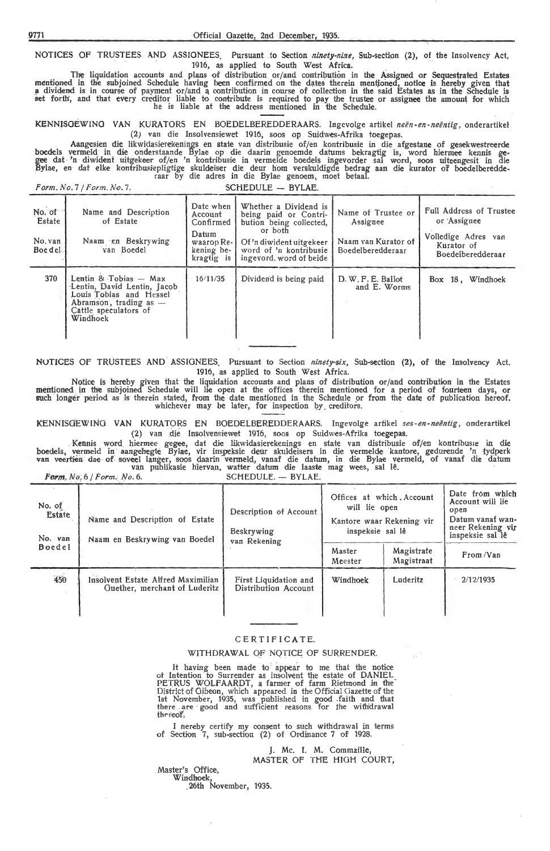NOTICES OF TRUSTEES AND ASSIGNEES. Pursuant to Section *ninety-nine*, Sub-section (2), of the Insolvency Act, 1916, as applied to South West Africa.

The liquidation accounts and plans of distribution or/ and contribution in the Assigned or Sequestrated Estates mentioned in the subjoined Schedule having been confirmed on the dates therein mentioned, notice is hereby given that a dividend is in course of payment or/and a contribution in course of collection in the said Estates as in the Schedule is<br>set forth, and that every creditor liable to contribute is required to pay the trustee or assignee he is liable at the address mentioned in the Schedule.

KENNfSOEWINO VAN KURATORS EN BOEDELBEREDDERAARS. Ingevolge artikel *neen-en-neentig,* onderartikel (2) van die Insolvensiewet 1916, soos op Suidwes-Afrika toegepas.

Aangesien die likwidasierekenings en state van distribusie of/en kontribusie in die afgestane of gesekwestreerde boedels vermeld in die onderstaande Bylae op die daarin genoemde datums bekragtig is, word hiermee kennis gegee dat 'n diwident uitgekeer of/en 'n kontribusie in vermelde boedels ingevorder sal word, soos uiteengesit in die Bylae, en dat elke kontribusiepligtige skuldeiser die deur hom verskuldigde bedrag aan die kurator of boedelberedde<br>raar by die adres in die Bylae genoem, moet betaal.

*Form. No.* 7 */Form.No .* 7, SCHEDULE - BYLAE.

| No. of<br>Estate<br>No. van<br>Boe del | Name and Description<br>of Estate<br>Naam en Beskrywing<br>van Boedel                                                                            | Date when<br>Account<br>Confirmed<br>Datum<br>waarop Re-<br>kening be-<br>kragtig is | Whether a Dividend is<br>being paid or Contri-<br>bution being collected,<br>or both<br>Of 'n diwident uitgekeer<br>word of 'n kontribusie<br>ingevord, word of beide | Name of Trustee or<br>Assignee<br>Naam van Kurator of<br>Boedelberedderaar | <b>Full Address of Trustee</b><br>or Assignee<br>Volledige Adres van<br>Kurator of<br>Boedelberedderaar |
|----------------------------------------|--------------------------------------------------------------------------------------------------------------------------------------------------|--------------------------------------------------------------------------------------|-----------------------------------------------------------------------------------------------------------------------------------------------------------------------|----------------------------------------------------------------------------|---------------------------------------------------------------------------------------------------------|
| 370                                    | Lentin & Tobias $-$ Max<br>Lentin, David Lentin, Jacob<br>Louis Tobias and Hessel<br>Abramson, trading as -<br>Cattle speculators of<br>Windhock | 16/11/35                                                                             | Dividend is being paid                                                                                                                                                | D. W. F. E. Ballot<br>and E. Worms                                         | Box 18, Windhoek                                                                                        |

NUTICES OF TRUSTEES AND ASSIGNEES. Pursuant to Section *ninety-six*, Sub-section (2), of the Insolvency Act. 1916, as applied to South West Africa.

Notioe is hereby given that the liquidation accounts and plans of distribution or/ and contribution in the Estates mentioned in the subjoined Schedule will lie open at the offices therein mentioned for a period of fourteen days, or<br>such longer period as is therein stated, from the date mentioned in the Schedule or from the date of publ

KENNISGEWING VAN KURATORS EN BOEDELBEREDDERAARS. Ingevolge artikel *ses-en-neëntig*, onderartikel (2) van die Insolvensiewet 1916, soos op Suidwes-Afrika toegepas.

. Kennis word hiermee gegee, dat die likwidasierekenings en state van distribusie of/en kontribus1e in die boedels, vermeld in aangehegte Bylae, vir inspeksie deur skuldeisers in die vermelde kantore, gedurende 'n tydperk<br>van veertien dae of soveel langer, soos daarin vermeld, vanaf die datum, in die Bylae vermeld, of vanaf die

**Form.** No. 6 / *Form.* No. 6. SCHEDULE. - BYLAE.

| No. of<br>Estate<br>No. van | Name and Description of Estate<br>Naam en Beskrywing van Boedel     | Description of Account<br><b>Beskrywing</b><br>van Rekening | Offices at which Account<br>will lie open<br>Kantore waar Rekening vir<br>inspeksie sal lê | Date from which<br>Account will lie<br>open<br>Datum vanaf wan-<br>neer Rekening vir<br>inspeksie sal lê |           |
|-----------------------------|---------------------------------------------------------------------|-------------------------------------------------------------|--------------------------------------------------------------------------------------------|----------------------------------------------------------------------------------------------------------|-----------|
| <b>Boedel</b>               |                                                                     |                                                             | Master<br>Meester                                                                          | Magistrate<br>Magistraat                                                                                 | From/Van  |
| 450                         | Insolvent Estate Alfred Maximilian<br>Guether, merchant of Luderitz | First Liquidation and<br>Distribution Account               | Windhoek                                                                                   | Luderitz                                                                                                 | 2/12/1935 |

### CERTIFICATE.

### WITHDRAWAL OF NOTICE OF SURRENDER.

It having been made to appear to me that the notice of Intention to Surrender as insolvent the estate of DANIEL PETRUS WOLFAARDT, a farmer of farm Rietmond in the<sup>-</sup><br>District of Gibeon, which appeared in the Official Gazette of the 1st November, 1935, was published in good faith and that<br>there are good and sufficient reasons for the with'drawal thereof.

I hereby certify my consent to such withdrawal in terms of Section 7, sub-section (2) of Ordinance 7 of 1928.

### J. Mc. I. M. Commaille,

MASTER OF THE HIGH COURT,

Master's Office, Windhoek,

26th November, 1935.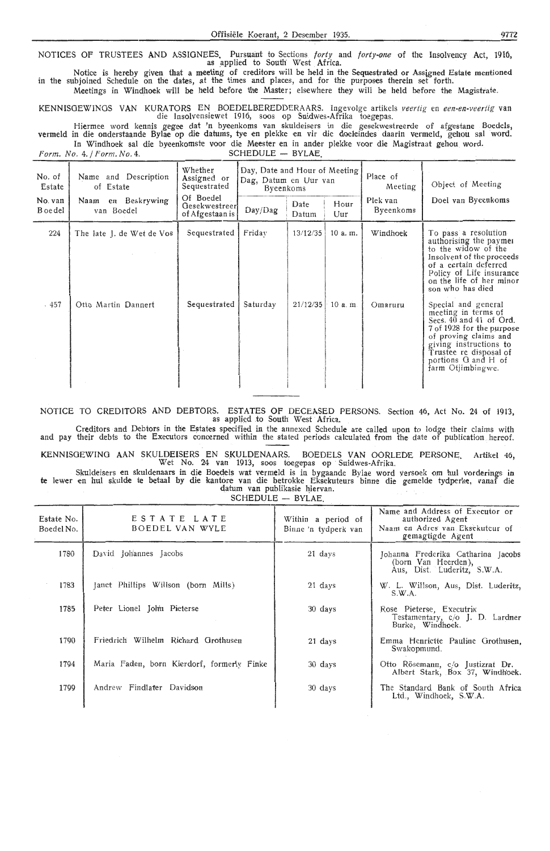NOTICES OF TRUSTEES AND ASSIGNEES. Pursuant to Sections forty and forty-one of the Insolvency Act, 1916, as applied to South West Africa.

Notice is hereby given that a meeting of creditors will be held in the Sequestrated or Assigned Estate mentioned in the subjoined Schedule on the dates, at the times and places, and for th'e purposes therein set forth.

Meetings in Windhoek will be held before the Master; elsewhere they will be held before the Magistrate.

KENNISOEWINOS VAN KURATORS EN BOEDELBEREDDERAARS. Ingevolge artikels veertig en een-en-veertig van die Insolvensiewet 1916, soos op Suidwes-Afrika toegepas.

Hiermee word kennis gegee dat 'n byeenkoms van skuldeisers in die gesekwestreerde of afgestane Boedels, vermeld in die onderstaande Bylae op die datums, tye en plekke en vir die doeleindes daarin vermeld, gehou sal word. In Windhoek sal die byeenkomste voor die Meester en in ander plekke voor die Magistraat gehou word.<br> $\sigma$ .  $4.$  / Form, No. 4. SCHEDULE -- BYLAE

 $Form. No. 4./ Form. No. 4.$ 

| No. of<br>Estate    | Whether<br>Name and Description<br>Assigned or<br>of Estate<br>Sequestrated |                                               | Day, Date and Hour of Meeting<br>Dag, Datum en Uur van<br>Byeenkoms |               |             | Place of<br>Meeting   | Object of Meeting                                                                                                                                                                                                           |
|---------------------|-----------------------------------------------------------------------------|-----------------------------------------------|---------------------------------------------------------------------|---------------|-------------|-----------------------|-----------------------------------------------------------------------------------------------------------------------------------------------------------------------------------------------------------------------------|
| No. van<br>B oe del | Naam en Beskrywing<br>van Boedel                                            | Of Boedel<br>Gesekwestreer<br>of Afgestaan is | Day/Dag                                                             | Date<br>Datum | Hour<br>Uur | Plek van<br>Byeenkoms | Doel van Byeenkoms                                                                                                                                                                                                          |
| 224                 | The late J. de Wet de Vos                                                   | Sequestrated                                  | Friday                                                              | 13/12/35      | 10 a.m.     | Windhoek              | To pass a resolution<br>authorising the paymer<br>to the widow of the<br>Insolvent of the proceeds<br>of a certain deferred<br>Policy of Life insurance<br>on the life of her minor<br>son who has died                     |
| $-457$              | Otto Martin Dannert                                                         | Sequestrated                                  | Saturday                                                            | 21/12/35      | $10a$ . m.  | Omaruru               | Special and general<br>meeting in terms of<br>Secs. 40 and 41 of Ord.<br>7 of 1928 for the purpose<br>of proving claims and<br>giving instructions to<br>Trustee re disposal of<br>portions G and H of<br>farm Otjimbingwe. |

NOTICE TO CREDITORS **AND** DEBTORS. ESTATES OF DECEASED PERSONS. Section 46, Act No. 24 of 1913, as applied to South West Africa.

Creditors and Debtors in the Estates specified in the annexed Schedule are called upon to lodge their claims with and pay their debts to the Executors concerned within the stated periods calculated from the date of publication hereof.

KENNISGEWINO AAN SKULDEISERS EN SKULDENAARS. BOEDELS VAN OORLEDE PERSONE Artikel 46, Wet No. 24 van 1913, soos toegepas op Suidwes-Afrika.

Skuldeisers en skuldenaars in die Boedels wat vermeld is in bygaande Bylae word versoek om hul vorderings in te lewer en hul skulde te betaal by die kantore van die betrokke Eksekuteurs binne die gemelde tydperke, vanaf die datum van publikasie hiervan.

 $SCHEDULE - BYLAF$ 

| Estate No.<br>Boedel No. | ESTATE LATE<br>BOEDEL VAN WYLE             | Within a period of<br>Binne 'n tydperk van | Name and Address of Executor or<br>authorized Agent<br>Naam en Adres van Eksekuteur of<br>gemagtigde Agent |
|--------------------------|--------------------------------------------|--------------------------------------------|------------------------------------------------------------------------------------------------------------|
| 1780                     | David Johannes Jacobs                      | 21 days                                    | Johanna Frederika Catharina Jacobs<br>(born Van Heerden),<br>Aus, Dist. Luderitz, S.W.A.                   |
| 1783                     | Janet Phillips Willson (born Mills)        | 21 days                                    | W. L. Willson, Aus, Dist. Luderitz,<br>S.W.A.                                                              |
| 1785                     | Peter Lionel John Pieterse                 | 30 days                                    | Rose Pieterse, Executrix<br>Testamentary, $c/o$ J. D. Lardner<br>Burke, Windhoek.                          |
| 1790                     | Friedrich Wilhelm Richard Grothusen        | 21 days                                    | Emma Henriette Pauline Grothusen.<br>Swakopmund.                                                           |
| 1794                     | Maria Faden, born Kierdorf, formerly Finke | 30 days                                    | Otto Rösemann, c/o Justizrat Dr.<br>Albert Stark, Box 37, Windhock.                                        |
| 1799                     | Andrew Findlater Davidson                  | 30 days                                    | The Standard Bank of South Africa<br>Ltd., Windhoek, S.W.A.                                                |
|                          |                                            |                                            |                                                                                                            |